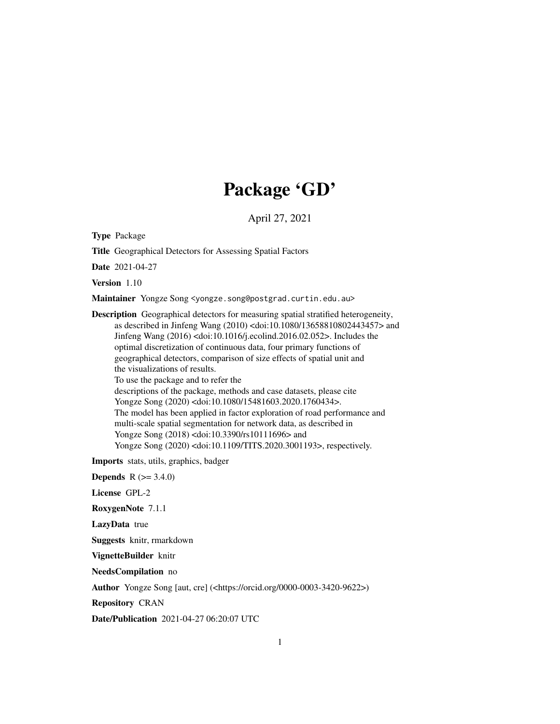# Package 'GD'

April 27, 2021

Type Package

Title Geographical Detectors for Assessing Spatial Factors

Date 2021-04-27

Version 1.10

Maintainer Yongze Song <yongze.song@postgrad.curtin.edu.au>

Description Geographical detectors for measuring spatial stratified heterogeneity, as described in Jinfeng Wang (2010) <doi:10.1080/13658810802443457> and Jinfeng Wang (2016) <doi:10.1016/j.ecolind.2016.02.052>. Includes the optimal discretization of continuous data, four primary functions of geographical detectors, comparison of size effects of spatial unit and the visualizations of results. To use the package and to refer the descriptions of the package, methods and case datasets, please cite Yongze Song (2020) <doi:10.1080/15481603.2020.1760434>. The model has been applied in factor exploration of road performance and multi-scale spatial segmentation for network data, as described in Yongze Song (2018) <doi:10.3390/rs10111696> and Yongze Song (2020) <doi:10.1109/TITS.2020.3001193>, respectively.

Imports stats, utils, graphics, badger

**Depends**  $R (= 3.4.0)$ 

License GPL-2

RoxygenNote 7.1.1

LazyData true

Suggests knitr, rmarkdown

VignetteBuilder knitr

NeedsCompilation no

Author Yongze Song [aut, cre] (<https://orcid.org/0000-0003-3420-9622>)

Repository CRAN

Date/Publication 2021-04-27 06:20:07 UTC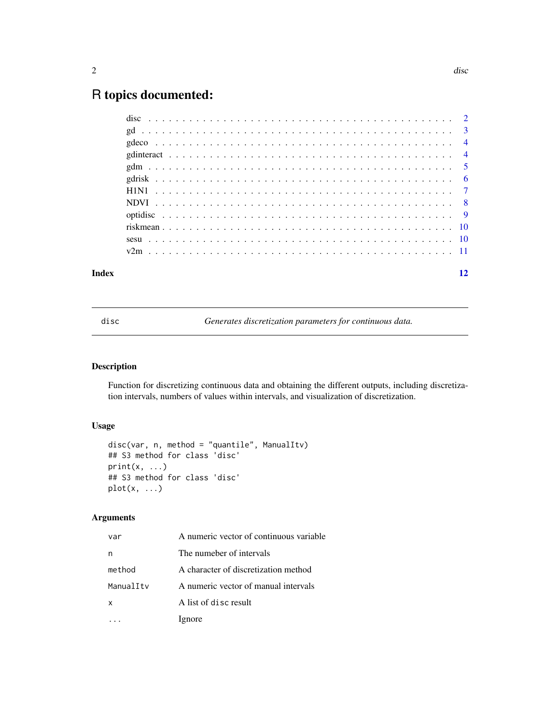## <span id="page-1-0"></span>R topics documented:

| Index |  |  |  |  |  |  |  |  |  |  |  |  |  |  |  |  |  |  |  | 12 |
|-------|--|--|--|--|--|--|--|--|--|--|--|--|--|--|--|--|--|--|--|----|
|       |  |  |  |  |  |  |  |  |  |  |  |  |  |  |  |  |  |  |  |    |
|       |  |  |  |  |  |  |  |  |  |  |  |  |  |  |  |  |  |  |  |    |
|       |  |  |  |  |  |  |  |  |  |  |  |  |  |  |  |  |  |  |  |    |
|       |  |  |  |  |  |  |  |  |  |  |  |  |  |  |  |  |  |  |  |    |
|       |  |  |  |  |  |  |  |  |  |  |  |  |  |  |  |  |  |  |  |    |
|       |  |  |  |  |  |  |  |  |  |  |  |  |  |  |  |  |  |  |  |    |
|       |  |  |  |  |  |  |  |  |  |  |  |  |  |  |  |  |  |  |  |    |
|       |  |  |  |  |  |  |  |  |  |  |  |  |  |  |  |  |  |  |  |    |
|       |  |  |  |  |  |  |  |  |  |  |  |  |  |  |  |  |  |  |  |    |
|       |  |  |  |  |  |  |  |  |  |  |  |  |  |  |  |  |  |  |  |    |
|       |  |  |  |  |  |  |  |  |  |  |  |  |  |  |  |  |  |  |  |    |
|       |  |  |  |  |  |  |  |  |  |  |  |  |  |  |  |  |  |  |  |    |

disc *Generates discretization parameters for continuous data.*

#### Description

Function for discretizing continuous data and obtaining the different outputs, including discretization intervals, numbers of values within intervals, and visualization of discretization.

#### Usage

```
disc(var, n, method = "quantile", ManualItv)
## S3 method for class 'disc'
print(x, ...)
## S3 method for class 'disc'
plot(x, \ldots)
```
#### Arguments

| var       | A numeric vector of continuous variable |
|-----------|-----------------------------------------|
| n         | The numeber of intervals                |
| method    | A character of discretization method    |
| ManualItv | A numeric vector of manual intervals    |
| x         | A list of disc result                   |
|           | Ignore                                  |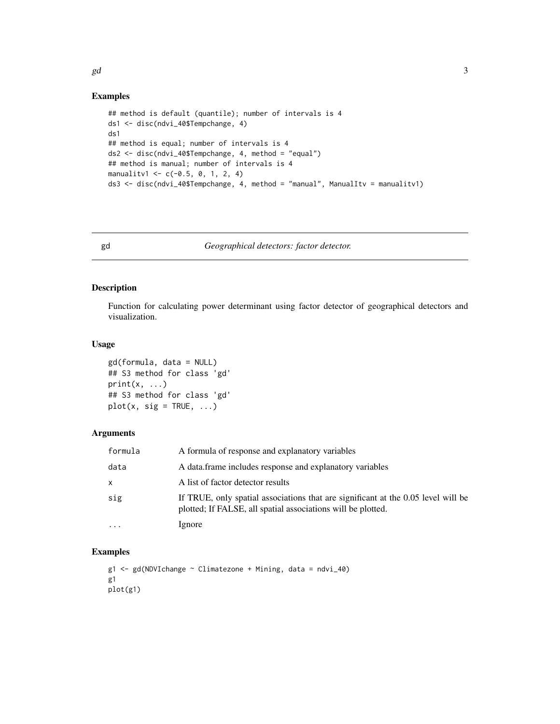#### Examples

```
## method is default (quantile); number of intervals is 4
ds1 <- disc(ndvi_40$Tempchange, 4)
ds1
## method is equal; number of intervals is 4
ds2 <- disc(ndvi_40$Tempchange, 4, method = "equal")
## method is manual; number of intervals is 4
manualitv1 <- c(-0.5, 0, 1, 2, 4)ds3 <- disc(ndvi_40$Tempchange, 4, method = "manual", ManualItv = manualitv1)
```
gd *Geographical detectors: factor detector.*

#### Description

Function for calculating power determinant using factor detector of geographical detectors and visualization.

#### Usage

```
gd(formula, data = NULL)
## S3 method for class 'gd'
print(x, \ldots)## S3 method for class 'gd'
plot(x, sig = TRUE, ...)
```
#### Arguments

| formula  | A formula of response and explanatory variables                                                                                                   |
|----------|---------------------------------------------------------------------------------------------------------------------------------------------------|
| data     | A data frame includes response and explanatory variables                                                                                          |
| X        | A list of factor detector results                                                                                                                 |
| sig      | If TRUE, only spatial associations that are significant at the 0.05 level will be<br>plotted; If FALSE, all spatial associations will be plotted. |
| $\cdots$ | Ignore                                                                                                                                            |

#### Examples

 $g1 \leq-gd(NDVIchange \sim Climatezone + Mining, data = ndvi_40)$ g1 plot(g1)

<span id="page-2-0"></span> $gd$  3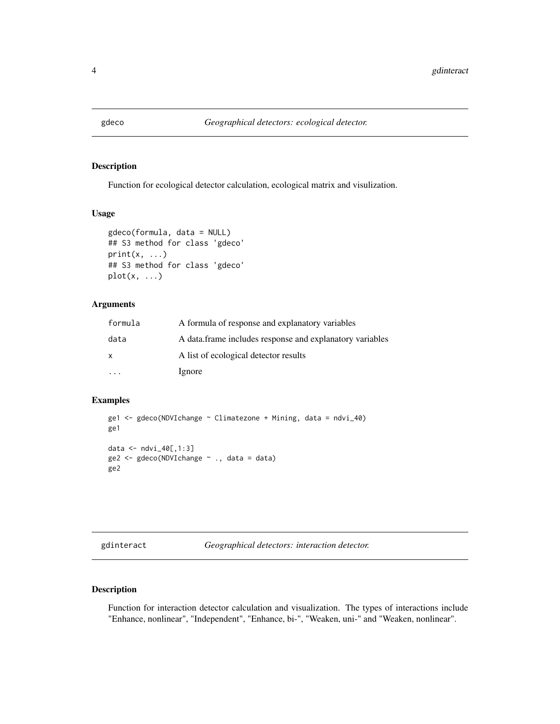<span id="page-3-0"></span>

#### Description

Function for ecological detector calculation, ecological matrix and visulization.

#### Usage

```
gdeco(formula, data = NULL)
## S3 method for class 'gdeco'
print(x, \ldots)## S3 method for class 'gdeco'
plot(x, ...)
```
#### Arguments

| formula      | A formula of response and explanatory variables          |
|--------------|----------------------------------------------------------|
| data         | A data frame includes response and explanatory variables |
| $\mathsf{x}$ | A list of ecological detector results                    |
|              | Ignore                                                   |

#### Examples

```
ge1 <- gdeco(NDVIchange ~ Climatezone + Mining, data = ndvi_40)
ge1
data <- ndvi_40[,1:3]
ge2 < - gece(NDV1change ~ ., data = data)ge2
```
gdinteract *Geographical detectors: interaction detector.*

#### Description

Function for interaction detector calculation and visualization. The types of interactions include "Enhance, nonlinear", "Independent", "Enhance, bi-", "Weaken, uni-" and "Weaken, nonlinear".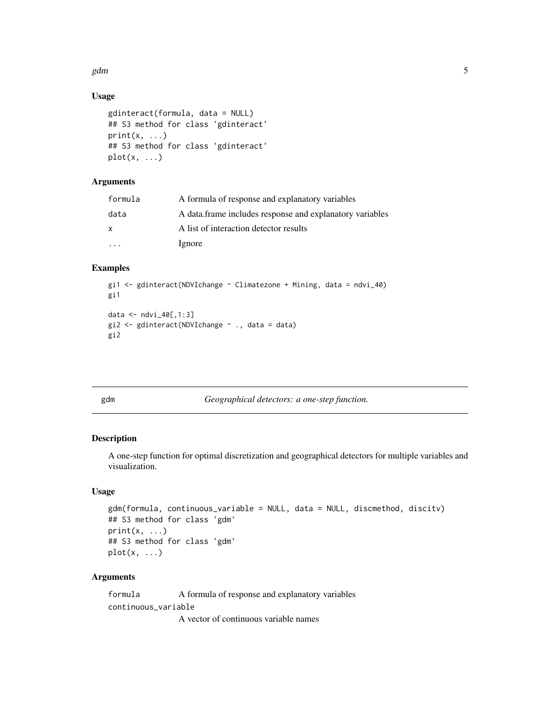<span id="page-4-0"></span>gdm  $5$ 

### Usage

```
gdinteract(formula, data = NULL)
## S3 method for class 'gdinteract'
print(x, \ldots)## S3 method for class 'gdinteract'
plot(x, \ldots)
```
### Arguments

| formula      | A formula of response and explanatory variables          |
|--------------|----------------------------------------------------------|
| data         | A data frame includes response and explanatory variables |
| $\mathsf{x}$ | A list of interaction detector results                   |
|              | Ignore                                                   |

#### Examples

```
gi1 <- gdinteract(NDVIchange ~ Climatezone + Mining, data = ndvi_40)
gi1
data <- ndvi_40[,1:3]
gi2 <- gdinteract(NDVIchange \sim ., data = data)
gi2
```

| v |
|---|
|---|

Geographical detectors: a one-step function.

#### Description

A one-step function for optimal discretization and geographical detectors for multiple variables and visualization.

#### Usage

```
gdm(formula, continuous_variable = NULL, data = NULL, discmethod, discitv)
## S3 method for class 'gdm'
print(x, \ldots)## S3 method for class 'gdm'
plot(x, \ldots)
```
#### Arguments

formula A formula of response and explanatory variables continuous\_variable

A vector of continuous variable names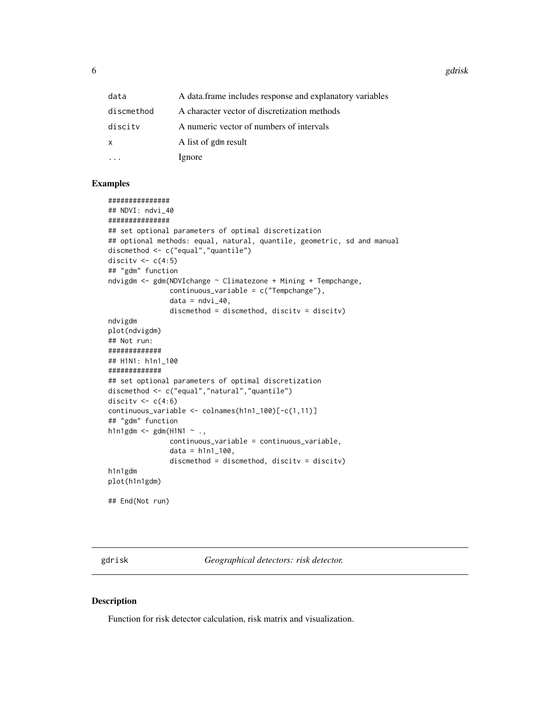<span id="page-5-0"></span>6 gdrisk stofboard in the second control of the second control of the second control of the second control of the second control of the second control of the second control of the second control of the second control of th

| data       | A data frame includes response and explanatory variables |
|------------|----------------------------------------------------------|
| discmethod | A character vector of discretization methods             |
| discity    | A numeric vector of numbers of intervals                 |
| X          | A list of gdm result                                     |
|            | Ignore                                                   |

#### Examples

```
###############
## NDVI: ndvi_40
###############
## set optional parameters of optimal discretization
## optional methods: equal, natural, quantile, geometric, sd and manual
discmethod <- c("equal","quantile")
discitv \leq c(4:5)## "gdm" function
ndvigdm <- gdm(NDVIchange ~ Climatezone + Mining + Tempchange,
               continuous_variable = c("Tempchange"),
               data = ndvi_40,discmethod = discmethod, discitv = discitv)
ndvigdm
plot(ndvigdm)
## Not run:
#############
## H1N1: h1n1_100
#############
## set optional parameters of optimal discretization
discmethod <- c("equal","natural","quantile")
discitv <-c(4:6)continuous_variable <- colnames(h1n1_100)[-c(1,11)]
## "gdm" function
h1n1gdm \leq gdm(H1N1 \sim .,
               continuous_variable = continuous_variable,
               data = h1n1_100,
               discmethod = discmethod, discitv = discitv)
h1n1gdm
plot(h1n1gdm)
## End(Not run)
```
gdrisk *Geographical detectors: risk detector.*

#### Description

Function for risk detector calculation, risk matrix and visualization.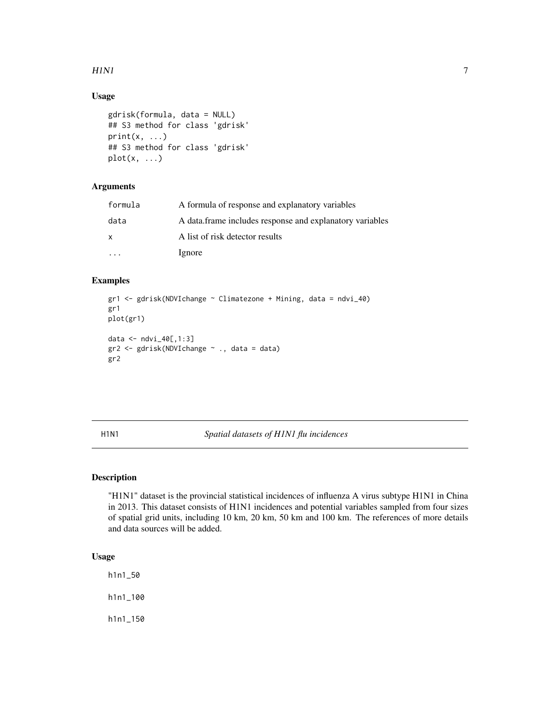#### <span id="page-6-0"></span> $H1N1$  7

#### Usage

```
gdrisk(formula, data = NULL)
## S3 method for class 'gdrisk'
print(x, \ldots)## S3 method for class 'gdrisk'
plot(x, \ldots)
```
#### Arguments

| formula | A formula of response and explanatory variables          |
|---------|----------------------------------------------------------|
| data    | A data frame includes response and explanatory variables |
| X       | A list of risk detector results                          |
|         | Ignore                                                   |

#### Examples

```
gr1 <- gdrisk(NDVIchange ~ Climatezone + Mining, data = ndvi_40)
gr1
plot(gr1)
data <- ndvi_40[,1:3]
gr2 <- gdrisk(NDVIchange ~ ., data = data)
gr2
```
H1N1 *Spatial datasets of H1N1 flu incidences*

#### Description

"H1N1" dataset is the provincial statistical incidences of influenza A virus subtype H1N1 in China in 2013. This dataset consists of H1N1 incidences and potential variables sampled from four sizes of spatial grid units, including 10 km, 20 km, 50 km and 100 km. The references of more details and data sources will be added.

#### Usage

h1n1\_50 h1n1\_100

h1n1\_150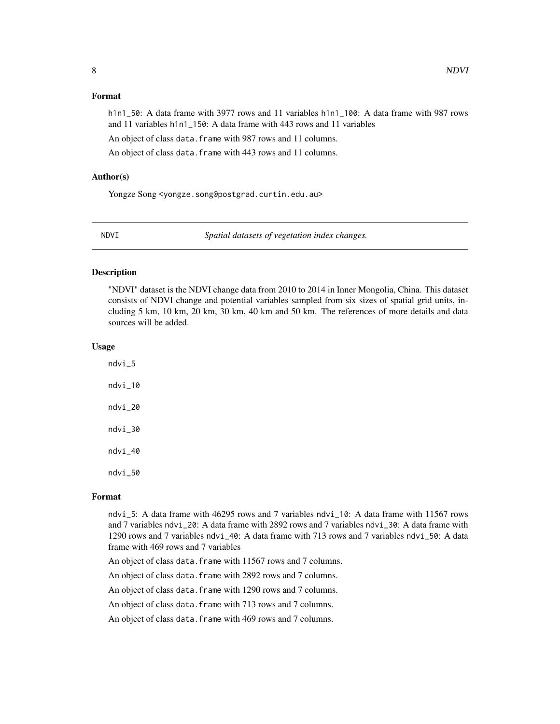#### <span id="page-7-0"></span>Format

h1n1\_50: A data frame with 3977 rows and 11 variables h1n1\_100: A data frame with 987 rows and 11 variables h1n1\_150: A data frame with 443 rows and 11 variables

An object of class data.frame with 987 rows and 11 columns.

An object of class data. frame with 443 rows and 11 columns.

#### Author(s)

Yongze Song <yongze.song@postgrad.curtin.edu.au>

NDVI *Spatial datasets of vegetation index changes.*

#### Description

"NDVI" dataset is the NDVI change data from 2010 to 2014 in Inner Mongolia, China. This dataset consists of NDVI change and potential variables sampled from six sizes of spatial grid units, including 5 km, 10 km, 20 km, 30 km, 40 km and 50 km. The references of more details and data sources will be added.

#### Usage

ndvi\_5 ndvi\_10 ndvi\_20 ndvi\_30 ndvi\_40 ndvi\_50

#### Format

ndvi\_5: A data frame with 46295 rows and 7 variables ndvi\_10: A data frame with 11567 rows and 7 variables ndvi\_20: A data frame with 2892 rows and 7 variables ndvi\_30: A data frame with 1290 rows and 7 variables ndvi\_40: A data frame with 713 rows and 7 variables ndvi\_50: A data frame with 469 rows and 7 variables

An object of class data. frame with 11567 rows and 7 columns.

An object of class data. frame with 2892 rows and 7 columns.

An object of class data. frame with 1290 rows and 7 columns.

An object of class data. frame with 713 rows and 7 columns.

An object of class data. frame with 469 rows and 7 columns.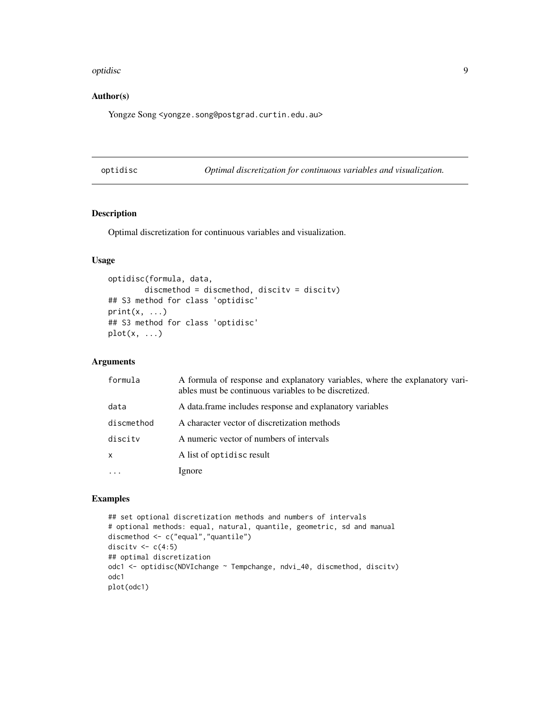#### <span id="page-8-0"></span>optidisc and the set of the set of the set of the set of the set of the set of the set of the set of the set of the set of the set of the set of the set of the set of the set of the set of the set of the set of the set of

#### Author(s)

Yongze Song <yongze.song@postgrad.curtin.edu.au>

optidisc *Optimal discretization for continuous variables and visualization.*

#### Description

Optimal discretization for continuous variables and visualization.

#### Usage

```
optidisc(formula, data,
        discmethod = discmethod, discitv = discitv)
## S3 method for class 'optidisc'
print(x, \ldots)## S3 method for class 'optidisc'
plot(x, \ldots)
```
#### Arguments

| formula      | A formula of response and explanatory variables, where the explanatory vari-<br>ables must be continuous variables to be discretized. |
|--------------|---------------------------------------------------------------------------------------------------------------------------------------|
| data         | A data frame includes response and explanatory variables                                                                              |
| discmethod   | A character vector of discretization methods                                                                                          |
| discity      | A numeric vector of numbers of intervals                                                                                              |
| $\mathsf{x}$ | A list of optidisc result                                                                                                             |
|              | Ignore                                                                                                                                |

#### Examples

```
## set optional discretization methods and numbers of intervals
# optional methods: equal, natural, quantile, geometric, sd and manual
discmethod <- c("equal","quantile")
discitv \leftarrow c(4:5)
## optimal discretization
odc1 <- optidisc(NDVIchange ~ Tempchange, ndvi_40, discmethod, discitv)
odc1
plot(odc1)
```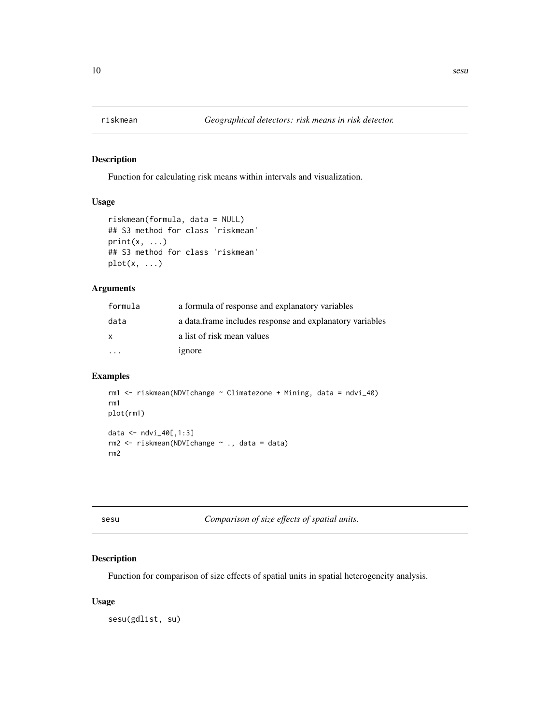<span id="page-9-0"></span>

#### Description

Function for calculating risk means within intervals and visualization.

#### Usage

```
riskmean(formula, data = NULL)
## S3 method for class 'riskmean'
print(x, \ldots)## S3 method for class 'riskmean'
plot(x, \ldots)
```
#### Arguments

| formula | a formula of response and explanatory variables           |
|---------|-----------------------------------------------------------|
| data    | a data. frame includes response and explanatory variables |
| x       | a list of risk mean values                                |
|         | ignore                                                    |

#### Examples

```
rm1 <- riskmean(NDVIchange ~ Climatezone + Mining, data = ndvi_40)
rm1
plot(rm1)
data <- ndvi_40[,1:3]
rm2 <- riskmean(NDVIchange ~ ., data = data)
rm2
```
sesu *Comparison of size effects of spatial units.*

#### Description

Function for comparison of size effects of spatial units in spatial heterogeneity analysis.

#### Usage

sesu(gdlist, su)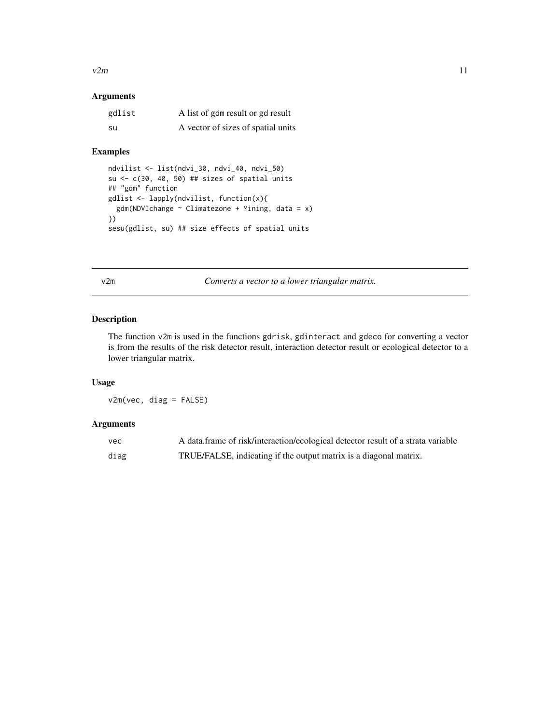<span id="page-10-0"></span> $v2m$  11

#### Arguments

| gdlist | A list of gdm result or gd result  |
|--------|------------------------------------|
| su     | A vector of sizes of spatial units |

#### Examples

```
ndvilist <- list(ndvi_30, ndvi_40, ndvi_50)
su <-c(30, 40, 50) ## sizes of spatial units
## "gdm" function
gdlist <- lapply(ndvilist, function(x){
 gdm(NDVIchange \sim \text{Climatezone} + \text{Mining}, data = x)})
sesu(gdlist, su) ## size effects of spatial units
```
v2m *Converts a vector to a lower triangular matrix.*

#### Description

The function v2m is used in the functions gdrisk, gdinteract and gdeco for converting a vector is from the results of the risk detector result, interaction detector result or ecological detector to a lower triangular matrix.

#### Usage

v2m(vec, diag = FALSE)

#### Arguments

| vec  | A data frame of risk/interaction/ecological detector result of a strata variable |
|------|----------------------------------------------------------------------------------|
| diag | TRUE/FALSE, indicating if the output matrix is a diagonal matrix.                |